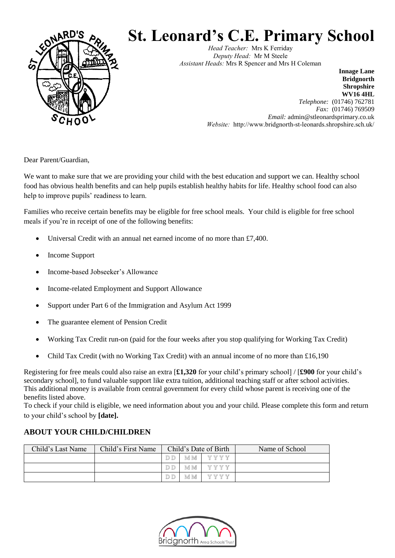

# **St. Leonard's C.E. Primary School**

*Head Teacher:* Mrs K Ferriday *Deputy Head:* Mr M Steele *Assistant Heads:* Mrs R Spencer and Mrs H Coleman

> **Bridgnorth Shropshire WV16 4HL** *Telephone:* (01746) 762781 *Fax:* (01746) 769509 *Email:* admin@stleonardsprimary.co.uk *Website:* http://www.bridgnorth-st-leonards.shropshire.sch.uk/

**Innage Lane**

Dear Parent/Guardian,

We want to make sure that we are providing your child with the best education and support we can. Healthy school food has obvious health benefits and can help pupils establish healthy habits for life. Healthy school food can also help to improve pupils' readiness to learn.

Families who receive certain benefits may be eligible for free school meals. Your child is eligible for free school meals if you're in receipt of one of the following benefits:

- Universal Credit with an annual net earned income of no more than £7,400.
- Income Support
- Income-based Jobseeker's Allowance
- Income-related Employment and Support Allowance
- Support under Part 6 of the Immigration and Asylum Act 1999
- The guarantee element of Pension Credit
- Working Tax Credit run-on (paid for the four weeks after you stop qualifying for Working Tax Credit)
- Child Tax Credit (with no Working Tax Credit) with an annual income of no more than  $£16,190$

Registering for free meals could also raise an extra [**£1,320** for your child's primary school] / [**£900** for your child's secondary school], to fund valuable support like extra tuition, additional teaching staff or after school activities. This additional money is available from central government for every child whose parent is receiving one of the benefits listed above.

To check if your child is eligible, we need information about you and your child. Please complete this form and return to your child's school by **[date].**

## **ABOUT YOUR CHILD/CHILDREN**

| Child's Last Name | Child's First Name |           |     | Child's Date of Birth | Name of School |
|-------------------|--------------------|-----------|-----|-----------------------|----------------|
|                   |                    | $DD$ $DD$ | M M | Y Y Y Y               |                |
|                   |                    | $DD$ $DD$ | M M | Y Y Y Y               |                |
|                   |                    | IDID      | M M | <b>WWWW</b>           |                |

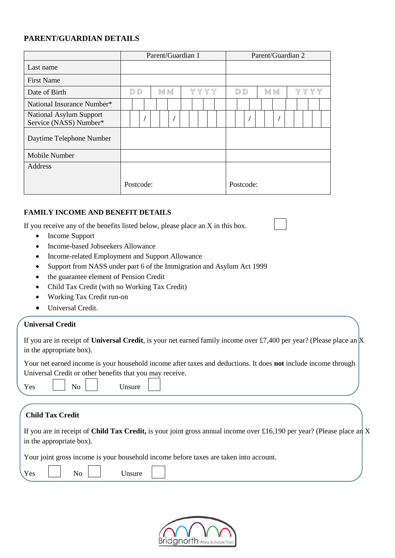## **PARENT/GUARDIAN DETAILS**

|                                                          | Parent/Guardian 1 |           |  |     |  |  |      |  |  |  | Parent/Guardian 2 |     |  |  |           |     |  |  |      |  |  |  |  |
|----------------------------------------------------------|-------------------|-----------|--|-----|--|--|------|--|--|--|-------------------|-----|--|--|-----------|-----|--|--|------|--|--|--|--|
| Last name                                                |                   |           |  |     |  |  |      |  |  |  |                   |     |  |  |           |     |  |  |      |  |  |  |  |
| <b>First Name</b>                                        |                   |           |  |     |  |  |      |  |  |  |                   |     |  |  |           |     |  |  |      |  |  |  |  |
| Date of Birth                                            | D D               |           |  | M M |  |  | YYYY |  |  |  |                   | D D |  |  |           | M M |  |  | YYYY |  |  |  |  |
| National Insurance Number*                               |                   |           |  |     |  |  |      |  |  |  |                   |     |  |  |           |     |  |  |      |  |  |  |  |
| <b>National Asylum Support</b><br>Service (NASS) Number* |                   |           |  |     |  |  |      |  |  |  |                   |     |  |  |           |     |  |  |      |  |  |  |  |
| Daytime Telephone Number                                 |                   |           |  |     |  |  |      |  |  |  |                   |     |  |  |           |     |  |  |      |  |  |  |  |
| Mobile Number                                            |                   |           |  |     |  |  |      |  |  |  |                   |     |  |  |           |     |  |  |      |  |  |  |  |
| Address                                                  |                   |           |  |     |  |  |      |  |  |  |                   |     |  |  |           |     |  |  |      |  |  |  |  |
|                                                          |                   | Postcode: |  |     |  |  |      |  |  |  |                   |     |  |  | Postcode: |     |  |  |      |  |  |  |  |

#### **FAMILY INCOME AND BENEFIT DETAILS**

If you receive any of the benefits listed below, please place an X in this box.

- Income Support
- Income-based Jobseekers Allowance
- Income-related Employment and Support Allowance
- Support from NASS under part 6 of the Immigration and Asylum Act 1999
- the guarantee element of Pension Credit
- Child Tax Credit (with no Working Tax Credit)
- Working Tax Credit run-on
- Universal Credit.

#### **Universal Credit**

If you are in receipt of **Universal Credit**, is your net earned family income over £7,400 per year? (Please place an X in the appropriate box).

Your net earned income is your household income after taxes and deductions. It does **not** include income through Universal Credit or other benefits that you may receive.

Yes | | No | | Unsure

## **Child Tax Credit**

| If you are in receipt of Child Tax Credit, is your joint gross annual income over £16,190 per year? (Please place an X |  |
|------------------------------------------------------------------------------------------------------------------------|--|
| in the appropriate box).                                                                                               |  |

Your joint gross income is your household income before taxes are taken into account.

|--|--|--|--|--|